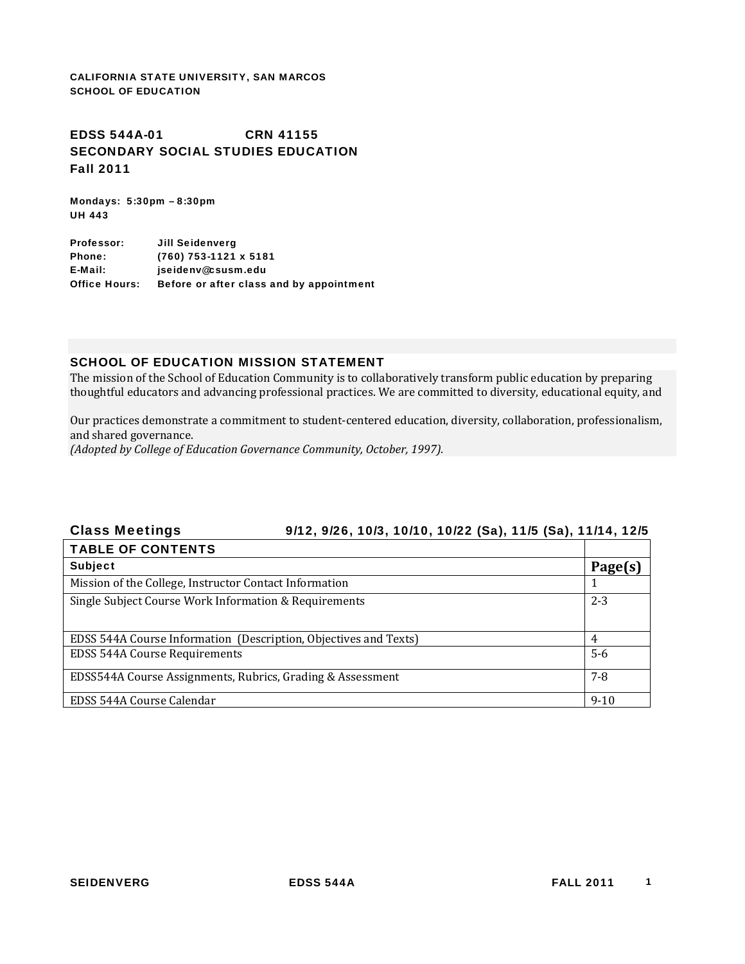CALIFORNIA STATE UNIVERSITY, SAN MARCOS SCHOOL OF EDUCATION

EDSS 544A-01 CRN 41155 SECONDARY SOCIAL STUDIES EDUCATION Fall 2011

Mondays: 5:30pm – 8:30pm UH 443

Professor: Jill Seidenverg Phone: (760) 753-1121 x 5181 E-Mail: jseidenv@csusm.edu Office Hours: Before or after class and by appointment

# SCHOOL OF EDUCATION MISSION STATEMENT

 The mission of the School of Education Community is to collaboratively transform public education by preparing thoughtful educators and advancing professional practices. We are committed to diversity, educational equity, and

and shared governance. Our practices demonstrate a commitment to student‐centered education, diversity, collaboration, professionalism,

 *(Adopted by College of Education Governance Community, October, 1997).*

| <b>Class Meetings</b>                                            | 9/12, 9/26, 10/3, 10/10, 10/22 (Sa), 11/5 (Sa), 11/14, 12/5 |         |
|------------------------------------------------------------------|-------------------------------------------------------------|---------|
| <b>TABLE OF CONTENTS</b>                                         |                                                             |         |
| <b>Subject</b>                                                   |                                                             | Page(s) |
| Mission of the College, Instructor Contact Information           |                                                             |         |
| Single Subject Course Work Information & Requirements            |                                                             | $2 - 3$ |
| EDSS 544A Course Information (Description, Objectives and Texts) |                                                             |         |
| <b>EDSS 544A Course Requirements</b>                             |                                                             |         |
| EDSS544A Course Assignments, Rubrics, Grading & Assessment       |                                                             |         |
| EDSS 544A Course Calendar                                        |                                                             |         |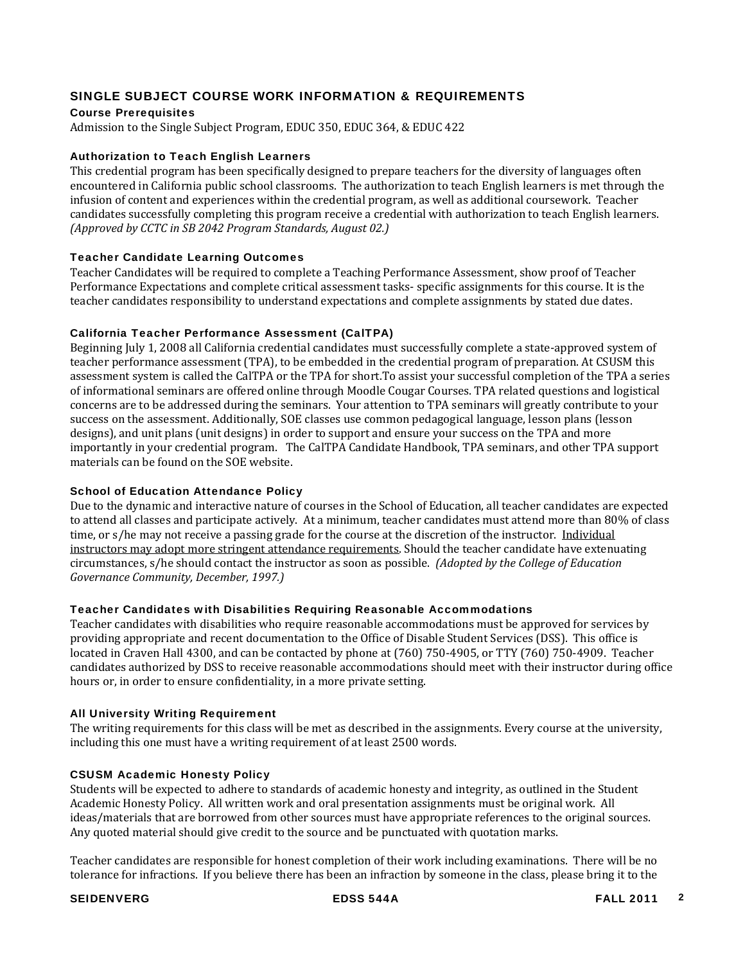# SINGLE SUBJECT COURSE WORK INFORMATION & REQUIREMENTS

# Course Prerequisites

Admission to the Single Subject Program, EDUC 350, EDUC 364, & EDUC 422

#### Authorization to Teach English Learners

 *(Approved by CCTC in SB 2042 Program Standards, August 02.)* This credential program has been specifically designed to prepare teachers for the diversity of languages often encountered in California public school classrooms. The authorization to teach English learners is met through the infusion of content and experiences within the credential program, as well as additional coursework. Teacher candidates successfully completing this program receive a credential with authorization to teach English learners.

#### Teacher Candidate Learning Outcomes

Teacher Candidates will be required to complete a Teaching Performance Assessment, show proof of Teacher Performance Expectations and complete critical assessment tasks‐ specific assignments for this course. It is the teacher candidates responsibility to understand expectations and complete assignments by stated due dates.

#### California Teacher Performance Assessment (CalTPA)

 assessment system is called the CalTPA or the TPA for short.To assist your successful completion of the TPA a series designs), and unit plans (unit designs) in order to support and ensure your success on the TPA and more importantly in your credential program. The CalTPA Candidate Handbook, TPA seminars, and other TPA support Beginning July 1, 2008 all California credential candidates must successfully complete a state‐approved system of teacher performance assessment (TPA), to be embedded in the credential program of preparation. At CSUSM this of informational seminars are offered online through Moodle Cougar Courses. TPA related questions and logistical concerns are to be addressed during the seminars. Your attention to TPA seminars will greatly contribute to your success on the assessment. Additionally, SOE classes use common pedagogical language, lesson plans (lesson materials can be found on the SOE website.

# School of Education Attendance Policy

 to attend all classes and participate actively. At a minimum, teacher candidates must attend more than 80% of class time, or s/he may not receive a passing grade for the course at the discretion of the instructor. Individual  circumstances, s/he should contact the instructor as soon as possible. *(Adopted by the College of Education Governance Community, December, 1997.)* Due to the dynamic and interactive nature of courses in the School of Education, all teacher candidates are expected instructors may adopt more stringent attendance requirements. Should the teacher candidate have extenuating

# Teacher Candidates with Disabilities Requiring Reasonable Accommodations

 Teacher candidates with disabilities who require reasonable accommodations must be approved for services by providing appropriate and recent documentation to the Office of Disable Student Services (DSS). This office is located in Craven Hall 4300, and can be contacted by phone at (760) 750‐4905, or TTY (760) 750‐4909. Teacher candidates authorized by DSS to receive reasonable accommodations should meet with their instructor during office hours or, in order to ensure confidentiality, in a more private setting.

# All University Writing Requirement

The writing requirements for this class will be met as described in the assignments. Every course at the university, including this one must have a writing requirement of at least 2500 words.

#### CSUSM Academic Honesty Policy

 Students will be expected to adhere to standards of academic honesty and integrity, as outlined in the Student Any quoted material should give credit to the source and be punctuated with quotation marks. Academic Honesty Policy. All written work and oral presentation assignments must be original work. All ideas/materials that are borrowed from other sources must have appropriate references to the original sources.

Teacher candidates are responsible for honest completion of their work including examinations. There will be no tolerance for infractions. If you believe there has been an infraction by someone in the class, please bring it to the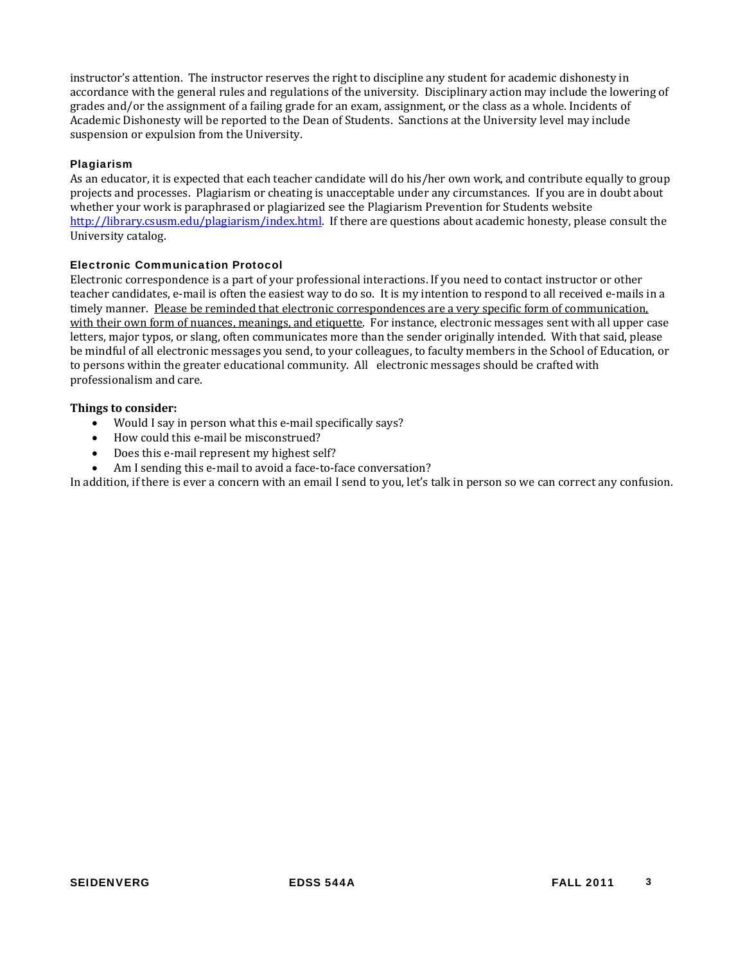accordance with the general rules and regulations of the university. Disciplinary action may include the lowering of grades and/or the assignment of a failing grade for an exam, assignment, or the class as a whole. Incidents of instructor's attention. The instructor reserves the right to discipline any student for academic dishonesty in Academic Dishonesty will be reported to the Dean of Students. Sanctions at the University level may include suspension or expulsion from the University.

# Plagiarism

As an educator, it is expected that each teacher candidate will do his/her own work, and contribute equally to group projects and processes. Plagiarism or cheating is unacceptable under any circumstances. If you are in doubt about whether your work is paraphrased or plagiarized see the Plagiarism Prevention for Students website http://library.csusm.edu/plagiarism/index.html. If there are questions about academic honesty, please consult the University catalog.

# Electronic Communication Protocol

timely manner. Please be reminded that electronic correspondences are a very specific form of communication, Electronic correspondence is a part of your professional interactions. If you need to contact instructor or other teacher candidates, e-mail is often the easiest way to do so. It is my intention to respond to all received e-mails in a with their own form of nuances, meanings, and etiquette. For instance, electronic messages sent with all upper case letters, major typos, or slang, often communicates more than the sender originally intended. With that said, please be mindful of all electronic messages you send, to your colleagues, to faculty members in the School of Education, or to persons within the greater educational community. All electronic messages should be crafted with professionalism and care.

# **Things to consider:**

- Would I say in person what this e-mail specifically says?
- How could this e-mail be misconstrued?
- Does this e-mail represent my highest self?
- Am I sending this e-mail to avoid a face-to-face conversation?

In addition, if there is ever a concern with an email I send to you, let's talk in person so we can correct any confusion.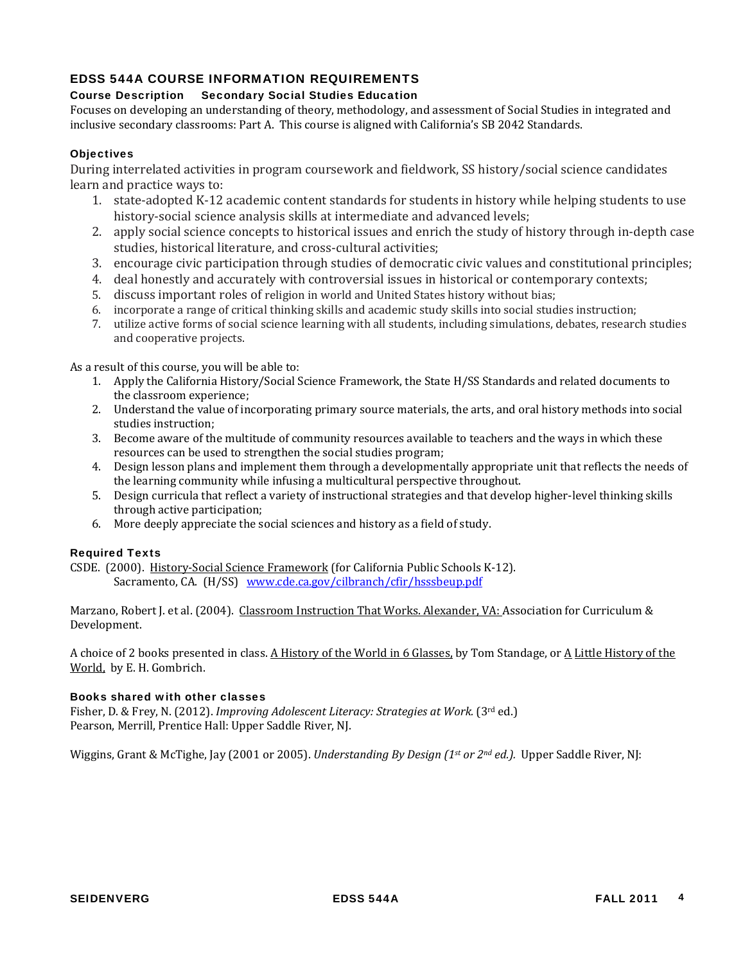# EDSS 544A COURSE INFORMATION REQUIREMENTS

# Course Description Secondary Social Studies Education

Focuses on developing an understanding of theory, methodology, and assessment of Social Studies in integrated and inclusive secondary classrooms: Part A. This course is aligned with California's SB 2042 Standards.

# **Objectives**

During interrelated activities in program coursework and fieldwork, SS history/social science candidates learn and practice ways to:

- 1. state-adopted K-12 academic content standards for students in history while helping students to use history-social science analysis skills at intermediate and advanced levels;
- 2. apply social science concepts to historical issues and enrich the study of history through in‐depth case studies, historical literature, and cross‐cultural activities;
- 3. encourage civic participation through studies of democratic civic values and constitutional principles;
- 4. deal honestly and accurately with controversial issues in historical or contemporary contexts;
- 5. discuss important roles of religion in world and United States history without bias;
- 6. incorporate a range of critical thinking skills and academic study skills into social studies instruction;
- 7. utilize active forms of social science learning with all students, including simulations, debates, research studies and cooperative projects.

As a result of this course, you will be able to:

- 1. Apply the California History/Social Science Framework, the State H/SS Standards and related documents to the classroom experience;
- 2. Understand the value of incorporating primary source materials, the arts, and oral history methods into social studies instruction;
- 3. Become aware of the multitude of community resources available to teachers and the ways in which these resources can be used to strengthen the social studies program;
- 4. Design lesson plans and implement them through a developmentally appropriate unit that reflects the needs of the learning community while infusing a multicultural perspective throughout.
- 5. Design curricula that reflect a variety of instructional strategies and that develop higher-level thinking skills through active participation;
- 6. More deeply appreciate the social sciences and history as a field of study.

# Required Texts

CSDE. (2000). History‐Social Science Framework (for California Public Schools K‐12). Sacramento, CA. (H/SS) www.cde.ca.gov/cilbranch/cfir/hsssbeup.pdf

Marzano, Robert J. et al. (2004). Classroom Instruction That Works. Alexander, VA: Association for Curriculum & Development.

A choice of 2 books presented in class. <u>A History of the World in 6 Glasses,</u> by Tom Standage, or <u>A Little History of the</u> World, by E. H. Gombrich.

# Books shared with other classes

 Fisher, D. & Frey, N. (2012). *Improving Adolescent Literacy: Strategies at Work.* (3rd ed.) Pearson, Merrill, Prentice Hall: Upper Saddle River, NJ.

 Wiggins, Grant & McTighe, Jay (2001 or 2005). *Understanding By Design (1st or 2nd ed.).* Upper Saddle River, NJ: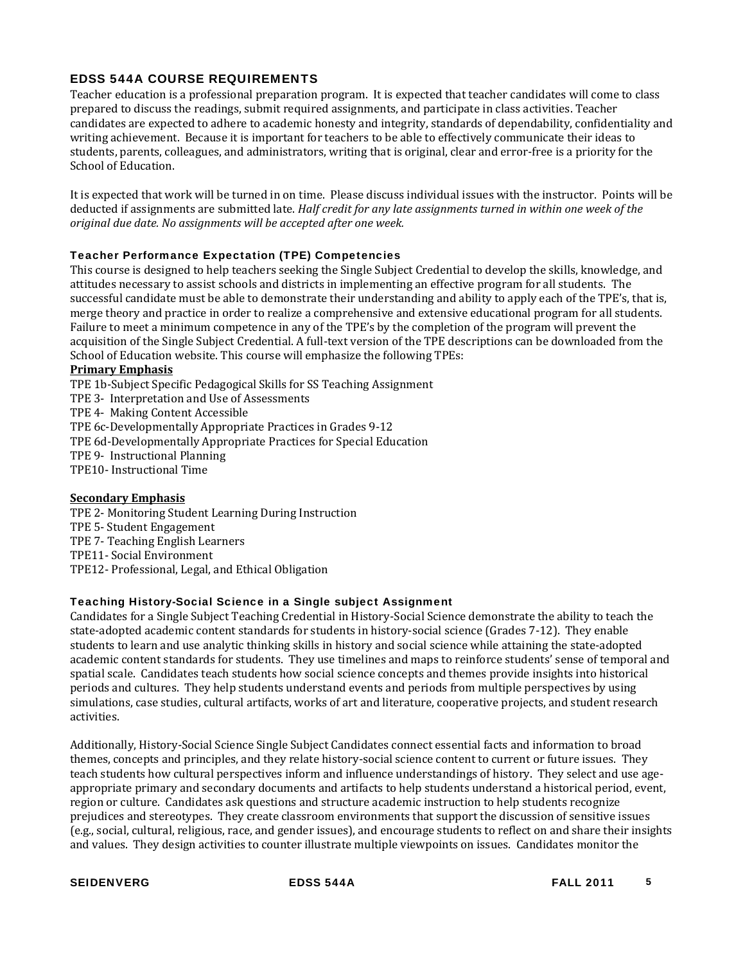# EDSS 544A COURSE REQUIREMENTS

 Teacher education is a professional preparation program. It is expected that teacher candidates will come to class prepared to discuss the readings, submit required assignments, and participate in class activities. Teacher candidates are expected to adhere to academic honesty and integrity, standards of dependability, confidentiality and writing achievement. Because it is important for teachers to be able to effectively communicate their ideas to students, parents, colleagues, and administrators, writing that is original, clear and error‐free is a priority for the School of Education.

deducted if assignments are submitted late. Half credit for any late assignments turned in within one week of the  *original due date. No assignments will be accepted after one week.* It is expected that work will be turned in on time. Please discuss individual issues with the instructor. Points will be

# Teacher Performance Expectation (TPE) Competencies

 attitudes necessary to assist schools and districts in implementing an effective program for all students. The acquisition of the Single Subject Credential. A full‐text version of the TPE descriptions can be downloaded from the This course is designed to help teachers seeking the Single Subject Credential to develop the skills, knowledge, and successful candidate must be able to demonstrate their understanding and ability to apply each of the TPE's, that is, merge theory and practice in order to realize a comprehensive and extensive educational program for all students. Failure to meet a minimum competence in any of the TPE's by the completion of the program will prevent the School of Education website. This course will emphasize the following TPEs:

# **Primary Emphasis**

 TPE 4‐ Making Content Accessible TPE 1b‐Subject Specific Pedagogical Skills for SS Teaching Assignment TPE 3‐ Interpretation and Use of Assessments TPE 6c‐Developmentally Appropriate Practices in Grades 9‐12 TPE 6d‐Developmentally Appropriate Practices for Special Education TPE 9‐ Instructional Planning TPE10‐ Instructional Time

# **Secondary Emphasis**

 TPE12‐ Professional, Legal, and Ethical Obligation TPE 2‐ Monitoring Student Learning During Instruction TPE 5‐ Student Engagement TPE 7‐ Teaching English Learners TPE11‐ Social Environment

# Teaching History-Social Science in a Single subject Assignment

 state‐adopted academic content standards for students in history‐social science (Grades 7‐12). They enable students to learn and use analytic thinking skills in history and social science while attaining the state‐adopted Candidates for a Single Subject Teaching Credential in History‐Social Science demonstrate the ability to teach the academic content standards for students. They use timelines and maps to reinforce students' sense of temporal and spatial scale. Candidates teach students how social science concepts and themes provide insights into historical periods and cultures. They help students understand events and periods from multiple perspectives by using simulations, case studies, cultural artifacts, works of art and literature, cooperative projects, and student research activities.

 (e.g., social, cultural, religious, race, and gender issues), and encourage students to reflect on and share their insights and values. They design activities to counter illustrate multiple viewpoints on issues. Candidates monitor the Additionally, History‐Social Science Single Subject Candidates connect essential facts and information to broad themes, concepts and principles, and they relate history-social science content to current or future issues. They teach students how cultural perspectives inform and influence understandings of history. They select and use ageappropriate primary and secondary documents and artifacts to help students understand a historical period, event, region or culture. Candidates ask questions and structure academic instruction to help students recognize prejudices and stereotypes. They create classroom environments that support the discussion of sensitive issues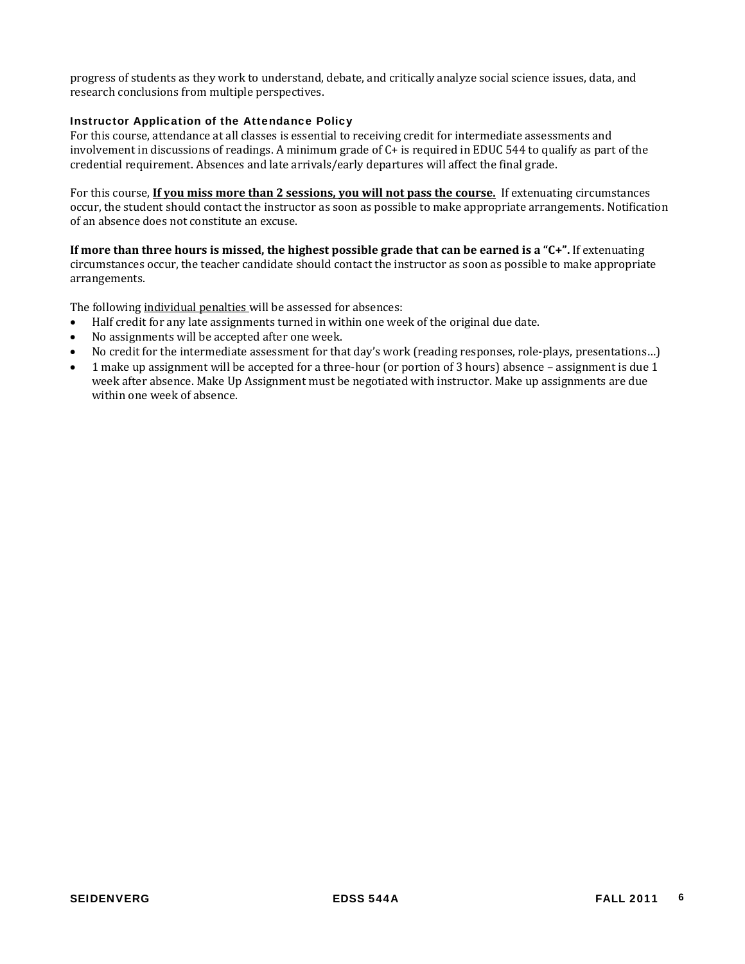progress of students as they work to understand, debate, and critically analyze social science issues, data, and research conclusions from multiple perspectives.

# Instructor Application of the Attendance Policy

 credential requirement. Absences and late arrivals/early departures will affect the final grade. For this course, attendance at all classes is essential to receiving credit for intermediate assessments and involvement in discussions of readings. A minimum grade of C+ is required in EDUC 544 to qualify as part of the

For this course, If you miss more than 2 sessions, you will not pass the course. If extenuating circumstances occur, the student should contact the instructor as soon as possible to make appropriate arrangements. Notification of an absence does not constitute an excuse.

If more than three hours is missed, the highest possible grade that can be earned is a "C+". If extenuating circumstances occur, the teacher candidate should contact the instructor as soon as possible to make appropriate arrangements.

The following individual penalties will be assessed for absences:

- Half credit for any late assignments turned in within one week of the original due date.
- No assignments will be accepted after one week.
- No credit for the intermediate assessment for that day's work (reading responses, role‐plays, presentations…)
- 1 make up assignment will be accepted for a three-hour (or portion of 3 hours) absence assignment is due 1 week after absence. Make Up Assignment must be negotiated with instructor. Make up assignments are due within one week of absence.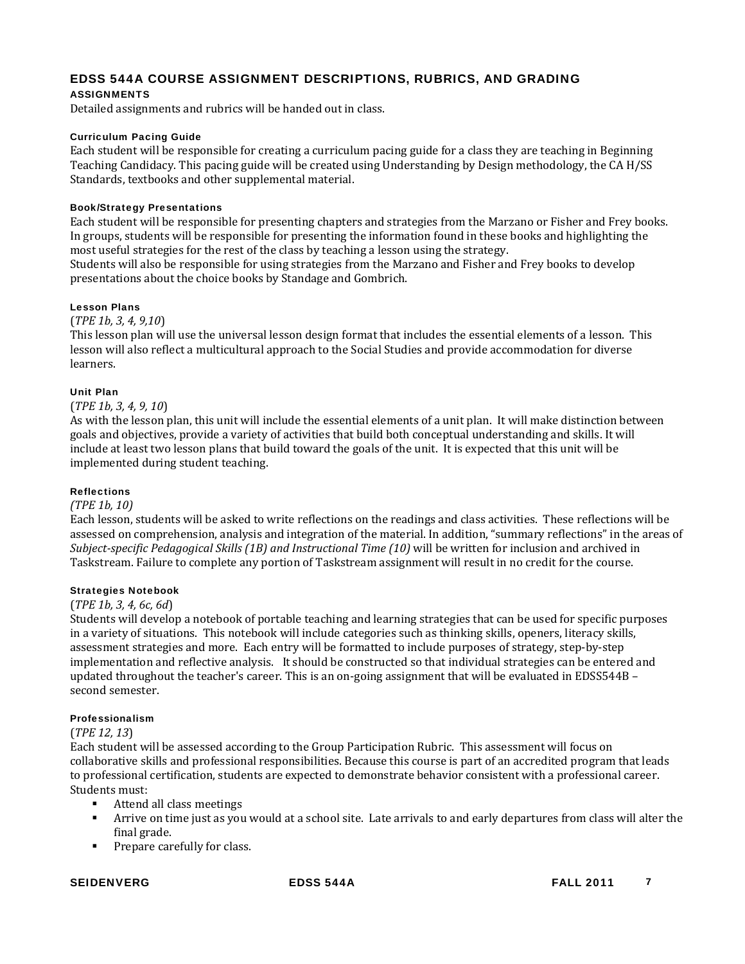# EDSS 544A COURSE ASSIGNMENT DESCRIPTIONS, RUBRICS, AND GRADING

# **ASSIGNMENTS**

Detailed assignments and rubrics will be handed out in class.

# Curriculum Pacing Guide

Each student will be responsible for creating a curriculum pacing guide for a class they are teaching in Beginning Teaching Candidacy. This pacing guide will be created using Understanding by Design methodology, the CA H/SS Standards, textbooks and other supplemental material.

#### Book/Strategy Presentations

Each student will be responsible for presenting chapters and strategies from the Marzano or Fisher and Frey books. In groups, students will be responsible for presenting the information found in these books and highlighting the most useful strategies for the rest of the class by teaching a lesson using the strategy.

 Students will also be responsible for using strategies from the Marzano and Fisher and Frey books to develop presentations about the choice books by Standage and Gombrich.

#### Lesson Plans

#### (*TPE 1b, 3, 4, 9,10*)

This lesson plan will use the universal lesson design format that includes the essential elements of a lesson. This lesson will also reflect a multicultural approach to the Social Studies and provide accommodation for diverse learners.

#### Unit Plan

#### (*TPE 1b, 3, 4, 9, 10*)

As with the lesson plan, this unit will include the essential elements of a unit plan. It will make distinction between goals and objectives, provide a variety of activities that build both conceptual understanding and skills. It will include at least two lesson plans that build toward the goals of the unit. It is expected that this unit will be implemented during student teaching.

# Reflections

#### *(TPE 1b, 10)*

 Each lesson, students will be asked to write reflections on the readings and class activities. These reflections will be  *Subject‐specific Pedagogical Skills (1B) and Instructional Time (10)* will be written for inclusion and archived in Taskstream. Failure to complete any portion of Taskstream assignment will result in no credit for the course. assessed on comprehension, analysis and integration of the material. In addition, "summary reflections" in the areas of

#### Strategies Notebook

# (*TPE 1b, 3, 4, 6c, 6d*)

 Students will develop a notebook of portable teaching and learning strategies that can be used for specific purposes updated throughout the teacher's career. This is an on‐going assignment that will be evaluated in EDSS544B – in a variety of situations. This notebook will include categories such as thinking skills, openers, literacy skills, assessment strategies and more. Each entry will be formatted to include purposes of strategy, step‐by‐step implementation and reflective analysis. It should be constructed so that individual strategies can be entered and second semester.

#### Professionalism

# (*TPE 12, 13*)

 collaborative skills and professional responsibilities. Because this course is part of an accredited program that leads Each student will be assessed according to the Group Participation Rubric. This assessment will focus on to professional certification, students are expected to demonstrate behavior consistent with a professional career. Students must:

- **Attend all class meetings**
- final grade. Arrive on time just as you would at a school site. Late arrivals to and early departures from class will alter the
- **•** Prepare carefully for class.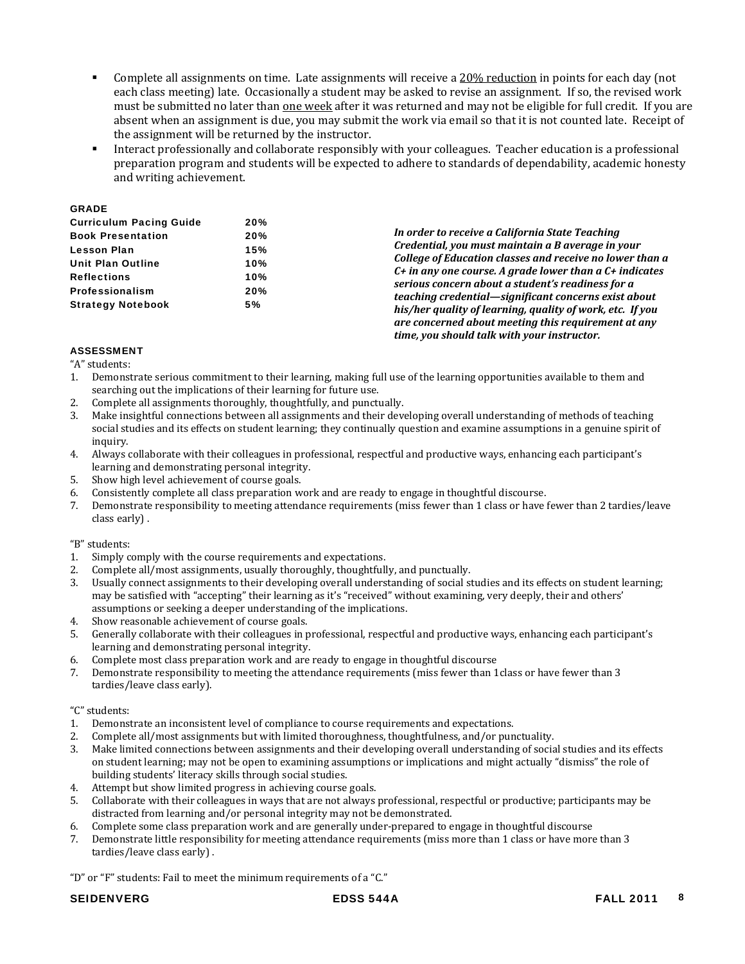- each class meeting) late. Occasionally a student may be asked to revise an assignment. If so, the revised work must be submitted no later than <u>one week</u> after it was returned and may not be eligible for full credit. If you are absent when an assignment is due, you may submit the work via email so that it is not counted late. Receipt of Complete all assignments on time. Late assignments will receive a 20% reduction in points for each day (not the assignment will be returned by the instructor.
- Interact professionally and collaborate responsibly with your colleagues. Teacher education is a professional preparation program and students will be expected to adhere to standards of dependability, academic honesty and writing achievement.

#### GRADE

| <b>Curriculum Pacing Guide</b> | 20% |                                                                                                                                                                          |  |
|--------------------------------|-----|--------------------------------------------------------------------------------------------------------------------------------------------------------------------------|--|
| <b>Book Presentation</b>       | 20% | In order to receive a California State Teaching                                                                                                                          |  |
| <b>Lesson Plan</b>             | 15% | Credential, you must maintain a B average in your                                                                                                                        |  |
| <b>Unit Plan Outline</b>       | 10% | College of Education classes and receive no lower than a<br>$C+$ in any one course. A grade lower than a $C+$ indicates                                                  |  |
| <b>Reflections</b>             | 10% |                                                                                                                                                                          |  |
| Professionalism                | 20% | serious concern about a student's readiness for a                                                                                                                        |  |
| <b>Strategy Notebook</b>       | 5%  | teaching credential-significant concerns exist about<br>his/her quality of learning, quality of work, etc. If you<br>are concerned about meeting this requirement at any |  |

 *time, you should talk with your instructor.*

#### ASSESSMENT

"A" students:

- 1. Demonstrate serious commitment to their learning, making full use of the learning opportunities available to them and searching out the implications of their learning for future use.
- 2. Complete all assignments thoroughly, thoughtfully, and punctually.
- inquiry. 3. Make insightful connections between all assignments and their developing overall understanding of methods of teaching social studies and its effects on student learning; they continually question and examine assumptions in a genuine spirit of
- 4. Always collaborate with their colleagues in professional, respectful and productive ways, enhancing each participant's learning and demonstrating personal integrity.
- 5. Show high level achievement of course goals.
- 6. Consistently complete all class preparation work and are ready to engage in thoughtful discourse.
- 7. Demonstrate responsibility to meeting attendance requirements (miss fewer than 1 class or have fewer than 2 tardies/leave class early) .

#### "B" students:

- 1. Simply comply with the course requirements and expectations.
- 2. Complete all/most assignments, usually thoroughly, thoughtfully, and punctually.
- 3. Usually connect assignments to their developing overall understanding of social studies and its effects on student learning; may be satisfied with "accepting" their learning as it's "received" without examining, very deeply, their and others' assumptions or seeking a deeper understanding of the implications.
- 4. Show reasonable achievement of course goals.
- 5. Generally collaborate with their colleagues in professional, respectful and productive ways, enhancing each participant's learning and demonstrating personal integrity.
- 6. Complete most class preparation work and are ready to engage in thoughtful discourse
- 7. Demonstrate responsibility to meeting the attendance requirements (miss fewer than 1class or have fewer than 3 tardies/leave class early).

#### "C" students:

- 1. Demonstrate an inconsistent level of compliance to course requirements and expectations.
- 2. Complete all/most assignments but with limited thoroughness, thoughtfulness, and/or punctuality.
- building students' literacy skills through social studies. 3. Make limited connections between assignments and their developing overall understanding of social studies and its effects on student learning; may not be open to examining assumptions or implications and might actually "dismiss" the role of
- 4. Attempt but show limited progress in achieving course goals.
- 5. Collaborate with their colleagues in ways that are not always professional, respectful or productive; participants may be distracted from learning and/or personal integrity may not be demonstrated.
- 6. Complete some class preparation work and are generally under‐prepared to engage in thoughtful discourse
- 7. Demonstrate little responsibility for meeting attendance requirements (miss more than 1 class or have more than 3 tardies/leave class early) .

"D" or "F" students: Fail to meet the minimum requirements of a "C."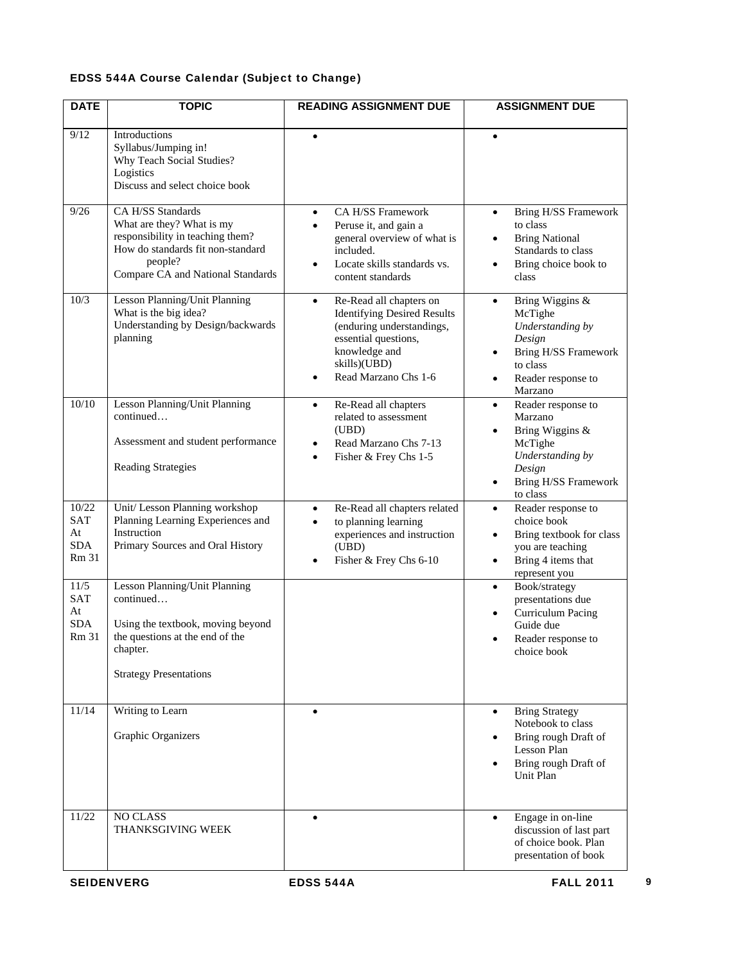# EDSS 544A Course Calendar (Subject to Change)

| <b>DATE</b>                                      | <b>TOPIC</b>                                                                                                                                                            | <b>READING ASSIGNMENT DUE</b>                                                                                                                                                                         | <b>ASSIGNMENT DUE</b>                                                                                                                                                       |
|--------------------------------------------------|-------------------------------------------------------------------------------------------------------------------------------------------------------------------------|-------------------------------------------------------------------------------------------------------------------------------------------------------------------------------------------------------|-----------------------------------------------------------------------------------------------------------------------------------------------------------------------------|
| 9/12                                             | Introductions<br>Syllabus/Jumping in!<br>Why Teach Social Studies?<br>Logistics<br>Discuss and select choice book                                                       | $\bullet$                                                                                                                                                                                             | $\bullet$                                                                                                                                                                   |
| 9/26                                             | CA H/SS Standards<br>What are they? What is my<br>responsibility in teaching them?<br>How do standards fit non-standard<br>people?<br>Compare CA and National Standards | CA H/SS Framework<br>$\bullet$<br>Peruse it, and gain a<br>$\bullet$<br>general overview of what is<br>included.<br>Locate skills standards vs.<br>$\bullet$<br>content standards                     | Bring H/SS Framework<br>$\bullet$<br>to class<br><b>Bring National</b><br>$\bullet$<br>Standards to class<br>Bring choice book to<br>٠<br>class                             |
| 10/3                                             | Lesson Planning/Unit Planning<br>What is the big idea?<br>Understanding by Design/backwards<br>planning                                                                 | Re-Read all chapters on<br>$\bullet$<br><b>Identifying Desired Results</b><br>(enduring understandings,<br>essential questions,<br>knowledge and<br>skills)(UBD)<br>Read Marzano Chs 1-6<br>$\bullet$ | Bring Wiggins &<br>$\bullet$<br>McTighe<br>Understanding by<br>Design<br><b>Bring H/SS Framework</b><br>$\bullet$<br>to class<br>Reader response to<br>$\bullet$<br>Marzano |
| 10/10                                            | Lesson Planning/Unit Planning<br>continued<br>Assessment and student performance<br><b>Reading Strategies</b>                                                           | Re-Read all chapters<br>$\bullet$<br>related to assessment<br>(UBD)<br>Read Marzano Chs 7-13<br>$\bullet$<br>Fisher & Frey Chs 1-5<br>$\bullet$                                                       | Reader response to<br>$\bullet$<br>Marzano<br>Bring Wiggins &<br>McTighe<br>Understanding by<br>Design<br>Bring H/SS Framework<br>$\bullet$<br>to class                     |
| 10/22<br><b>SAT</b><br>At<br><b>SDA</b><br>Rm 31 | Unit/ Lesson Planning workshop<br>Planning Learning Experiences and<br>Instruction<br>Primary Sources and Oral History                                                  | Re-Read all chapters related<br>$\bullet$<br>to planning learning<br>$\bullet$<br>experiences and instruction<br>(UBD)<br>Fisher & Frey Chs 6-10<br>$\bullet$                                         | Reader response to<br>$\bullet$<br>choice book<br>Bring textbook for class<br>$\bullet$<br>you are teaching<br>Bring 4 items that<br>$\bullet$<br>represent you             |
| 11/5<br><b>SAT</b><br>At<br><b>SDA</b><br>Rm 31  | Lesson Planning/Unit Planning<br>continued<br>Using the textbook, moving beyond<br>the questions at the end of the<br>chapter.<br><b>Strategy Presentations</b>         |                                                                                                                                                                                                       | Book/strategy<br>$\bullet$<br>presentations due<br>Curriculum Pacing<br>Guide due<br>Reader response to<br>٠<br>choice book                                                 |
| 11/14                                            | Writing to Learn<br>Graphic Organizers                                                                                                                                  | $\bullet$                                                                                                                                                                                             | <b>Bring Strategy</b><br>$\bullet$<br>Notebook to class<br>Bring rough Draft of<br>Lesson Plan<br>Bring rough Draft of<br>$\bullet$<br>Unit Plan                            |
| 11/22                                            | NO CLASS<br>THANKSGIVING WEEK                                                                                                                                           |                                                                                                                                                                                                       | Engage in on-line<br>discussion of last part<br>of choice book. Plan<br>presentation of book                                                                                |